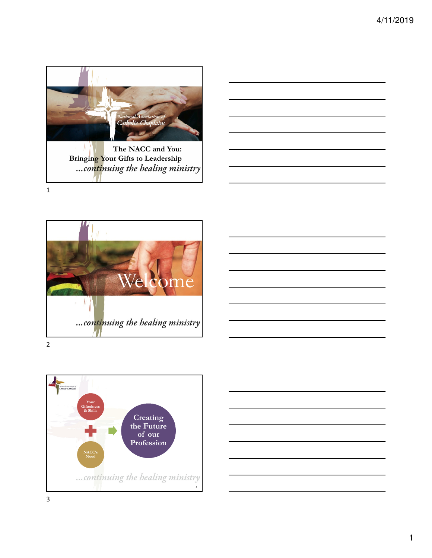



Welcome ...continuing the healing ministry 2



.<br>vad Association of<br>holic Chaplains **Your Giftedness & Skills Creating the Future of our Profession NACC's Need** ... continuing the healing ministry **3**

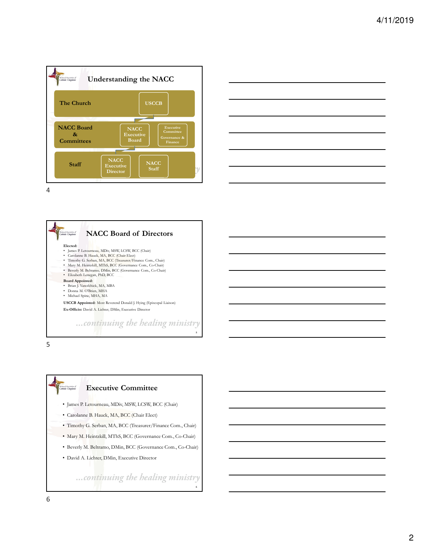





5

inal Association of<br>bolic Chaplains

## **Executive Committee**

- James P. Letourneau, MDiv, MSW, LCSW, BCC (Chair)
- Carolanne B. Hauck, MA, BCC (Chair Elect)
- Timothy G. Serban, MA, BCC (Treasurer/Finance Com., Chair)
- Mary M. Heintzkill, MThS, BCC (Governance Com., Co-Chair)
- Beverly M. Beltramo, DMin, BCC (Governance Com., Co-Chair)
- David A. Lichter, DMin, Executive Director

...continuing the healing ministry

**6**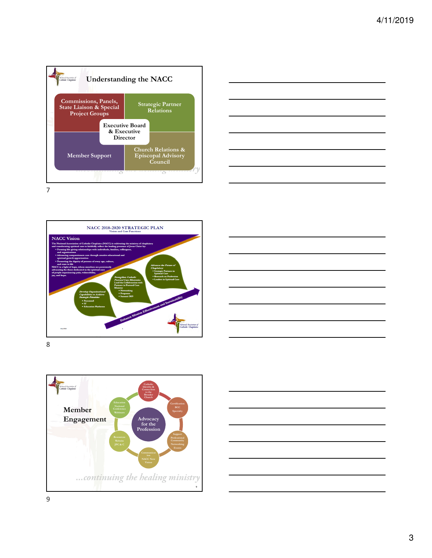









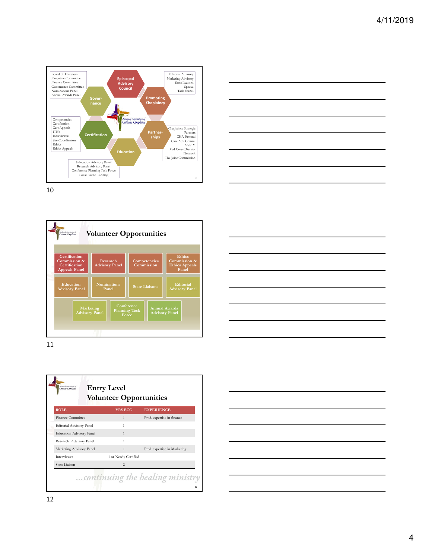









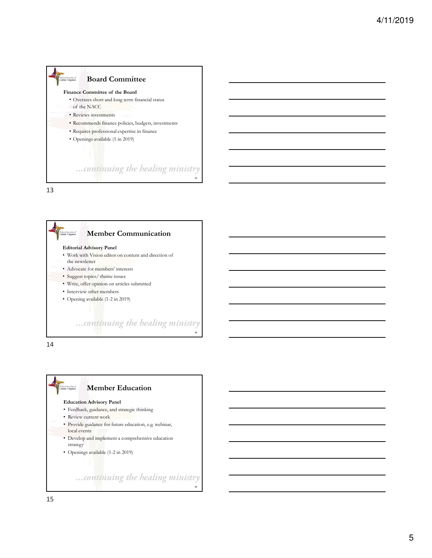



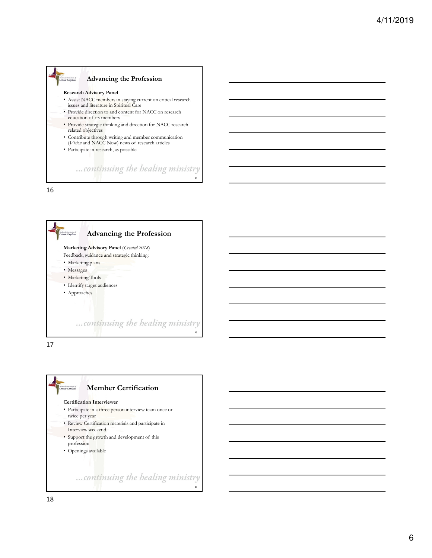







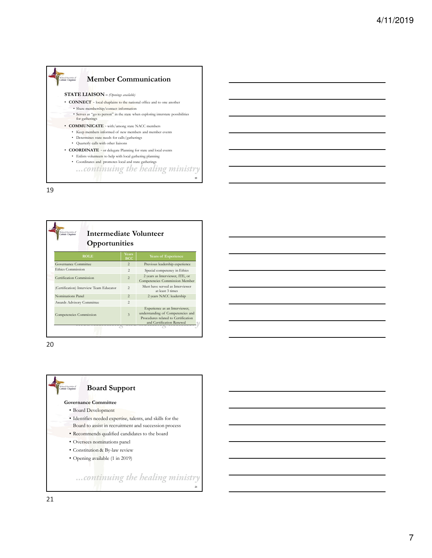



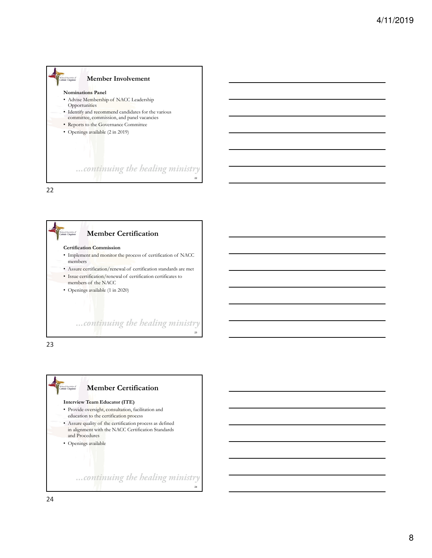





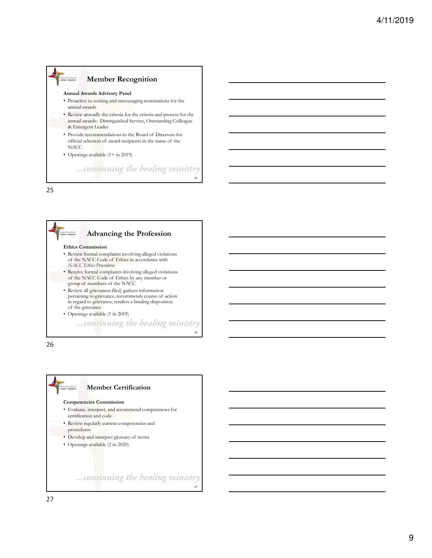

25